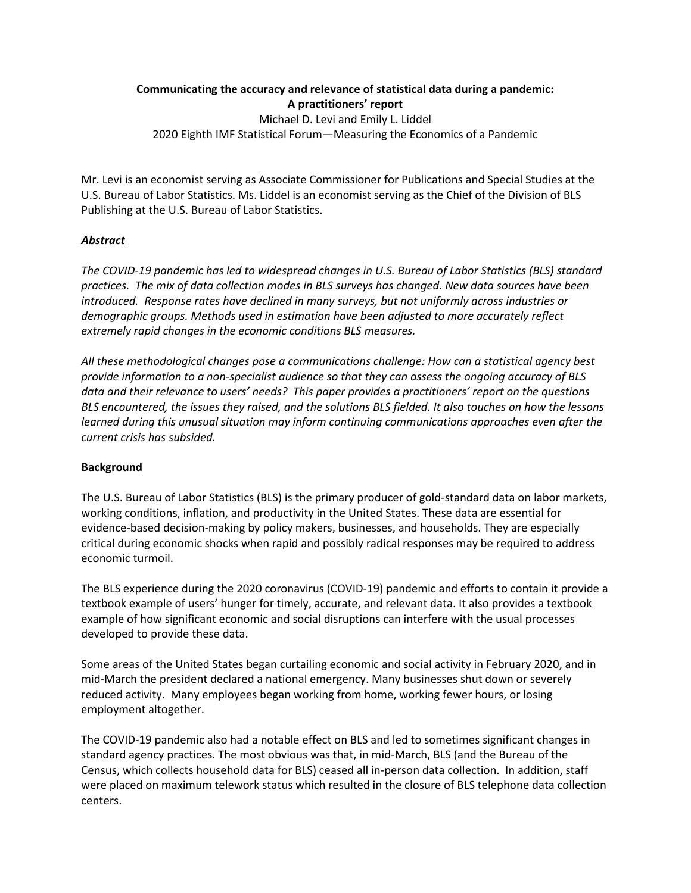# **Communicating the accuracy and relevance of statistical data during a pandemic: A practitioners' report** Michael D. Levi and Emily L. Liddel

2020 Eighth IMF Statistical Forum—Measuring the Economics of a Pandemic

Mr. Levi is an economist serving as Associate Commissioner for Publications and Special Studies at the U.S. Bureau of Labor Statistics. Ms. Liddel is an economist serving as the Chief of the Division of BLS Publishing at the U.S. Bureau of Labor Statistics.

# *Abstract*

*The COVID-19 pandemic has led to widespread changes in U.S. Bureau of Labor Statistics (BLS) standard practices. The mix of data collection modes in BLS surveys has changed. New data sources have been introduced. Response rates have declined in many surveys, but not uniformly across industries or demographic groups. Methods used in estimation have been adjusted to more accurately reflect extremely rapid changes in the economic conditions BLS measures.*

*All these methodological changes pose a communications challenge: How can a statistical agency best provide information to a non-specialist audience so that they can assess the ongoing accuracy of BLS data and their relevance to users' needs? This paper provides a practitioners' report on the questions BLS encountered, the issues they raised, and the solutions BLS fielded. It also touches on how the lessons learned during this unusual situation may inform continuing communications approaches even after the current crisis has subsided.*

# **Background**

The U.S. Bureau of Labor Statistics (BLS) is the primary producer of gold-standard data on labor markets, working conditions, inflation, and productivity in the United States. These data are essential for evidence-based decision-making by policy makers, businesses, and households. They are especially critical during economic shocks when rapid and possibly radical responses may be required to address economic turmoil.

The BLS experience during the 2020 coronavirus (COVID-19) pandemic and efforts to contain it provide a textbook example of users' hunger for timely, accurate, and relevant data. It also provides a textbook example of how significant economic and social disruptions can interfere with the usual processes developed to provide these data.

Some areas of the United States began curtailing economic and social activity in February 2020, and in mid-March the president declared a national emergency. Many businesses shut down or severely reduced activity. Many employees began working from home, working fewer hours, or losing employment altogether.

The COVID-19 pandemic also had a notable effect on BLS and led to sometimes significant changes in standard agency practices. The most obvious was that, in mid-March, BLS (and the Bureau of the Census, which collects household data for BLS) ceased all in-person data collection. In addition, staff were placed on maximum telework status which resulted in the closure of BLS telephone data collection centers.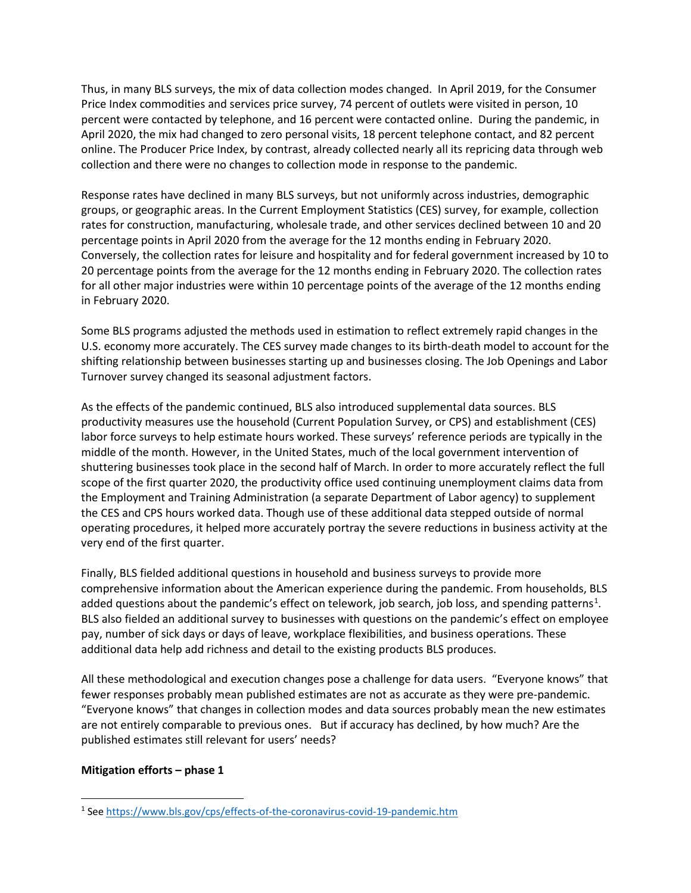Thus, in many BLS surveys, the mix of data collection modes changed. In April 2019, for the Consumer Price Index commodities and services price survey, 74 percent of outlets were visited in person, 10 percent were contacted by telephone, and 16 percent were contacted online. During the pandemic, in April 2020, the mix had changed to zero personal visits, 18 percent telephone contact, and 82 percent online. The Producer Price Index, by contrast, already collected nearly all its repricing data through web collection and there were no changes to collection mode in response to the pandemic.

Response rates have declined in many BLS surveys, but not uniformly across industries, demographic groups, or geographic areas. In the Current Employment Statistics (CES) survey, for example, collection rates for construction, manufacturing, wholesale trade, and other services declined between 10 and 20 percentage points in April 2020 from the average for the 12 months ending in February 2020. Conversely, the collection rates for leisure and hospitality and for federal government increased by 10 to 20 percentage points from the average for the 12 months ending in February 2020. The collection rates for all other major industries were within 10 percentage points of the average of the 12 months ending in February 2020.

Some BLS programs adjusted the methods used in estimation to reflect extremely rapid changes in the U.S. economy more accurately. The CES survey made changes to its birth-death model to account for the shifting relationship between businesses starting up and businesses closing. The Job Openings and Labor Turnover survey changed its seasonal adjustment factors.

As the effects of the pandemic continued, BLS also introduced supplemental data sources. BLS productivity measures use the household (Current Population Survey, or CPS) and establishment (CES) labor force surveys to help estimate hours worked. These surveys' reference periods are typically in the middle of the month. However, in the United States, much of the local government intervention of shuttering businesses took place in the second half of March. In order to more accurately reflect the full scope of the first quarter 2020, the productivity office used continuing unemployment claims data from the Employment and Training Administration (a separate Department of Labor agency) to supplement the CES and CPS hours worked data. Though use of these additional data stepped outside of normal operating procedures, it helped more accurately portray the severe reductions in business activity at the very end of the first quarter.

Finally, BLS fielded additional questions in household and business surveys to provide more comprehensive information about the American experience during the pandemic. From households, BLS added questions about the pandemic's effect on telework, job search, job loss, and spending patterns<sup>[1](#page-1-0)</sup>. BLS also fielded an additional survey to businesses with questions on the pandemic's effect on employee pay, number of sick days or days of leave, workplace flexibilities, and business operations. These additional data help add richness and detail to the existing products BLS produces.

All these methodological and execution changes pose a challenge for data users. "Everyone knows" that fewer responses probably mean published estimates are not as accurate as they were pre-pandemic. "Everyone knows" that changes in collection modes and data sources probably mean the new estimates are not entirely comparable to previous ones. But if accuracy has declined, by how much? Are the published estimates still relevant for users' needs?

# **Mitigation efforts – phase 1**

<span id="page-1-0"></span><sup>1</sup> See<https://www.bls.gov/cps/effects-of-the-coronavirus-covid-19-pandemic.htm>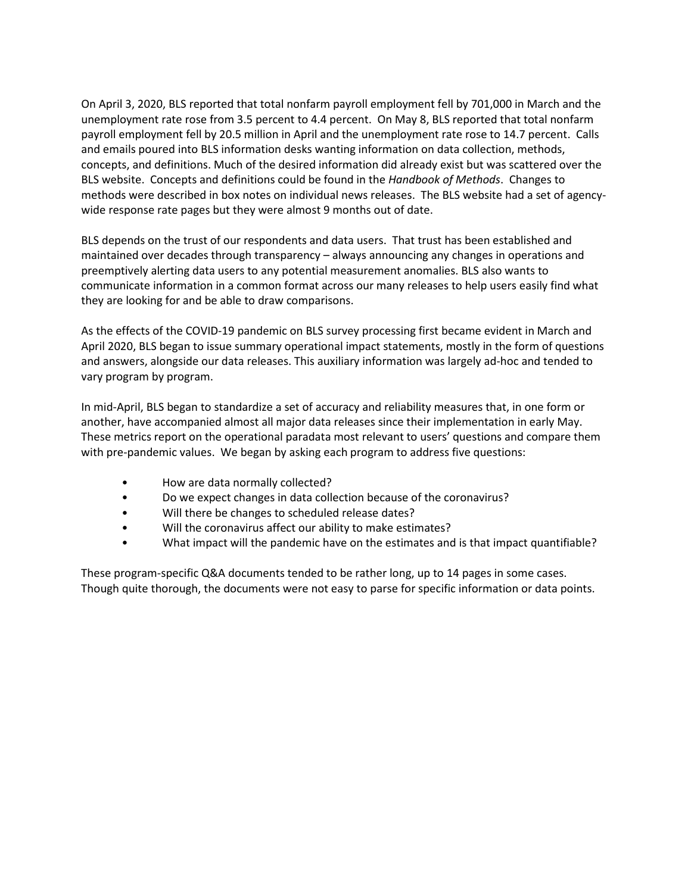On April 3, 2020, BLS reported that total nonfarm payroll employment fell by 701,000 in March and the unemployment rate rose from 3.5 percent to 4.4 percent. On May 8, BLS reported that total nonfarm payroll employment fell by 20.5 million in April and the unemployment rate rose to 14.7 percent. Calls and emails poured into BLS information desks wanting information on data collection, methods, concepts, and definitions. Much of the desired information did already exist but was scattered over the BLS website. Concepts and definitions could be found in the *Handbook of Methods*. Changes to methods were described in box notes on individual news releases. The BLS website had a set of agencywide response rate pages but they were almost 9 months out of date.

BLS depends on the trust of our respondents and data users. That trust has been established and maintained over decades through transparency – always announcing any changes in operations and preemptively alerting data users to any potential measurement anomalies. BLS also wants to communicate information in a common format across our many releases to help users easily find what they are looking for and be able to draw comparisons.

As the effects of the COVID-19 pandemic on BLS survey processing first became evident in March and April 2020, BLS began to issue summary operational impact statements, mostly in the form of questions and answers, alongside our data releases. This auxiliary information was largely ad-hoc and tended to vary program by program.

In mid-April, BLS began to standardize a set of accuracy and reliability measures that, in one form or another, have accompanied almost all major data releases since their implementation in early May. These metrics report on the operational paradata most relevant to users' questions and compare them with pre-pandemic values. We began by asking each program to address five questions:

- How are data normally collected?
- Do we expect changes in data collection because of the coronavirus?
- Will there be changes to scheduled release dates?
- Will the coronavirus affect our ability to make estimates?
- What impact will the pandemic have on the estimates and is that impact quantifiable?

These program-specific Q&A documents tended to be rather long, up to 14 pages in some cases. Though quite thorough, the documents were not easy to parse for specific information or data points.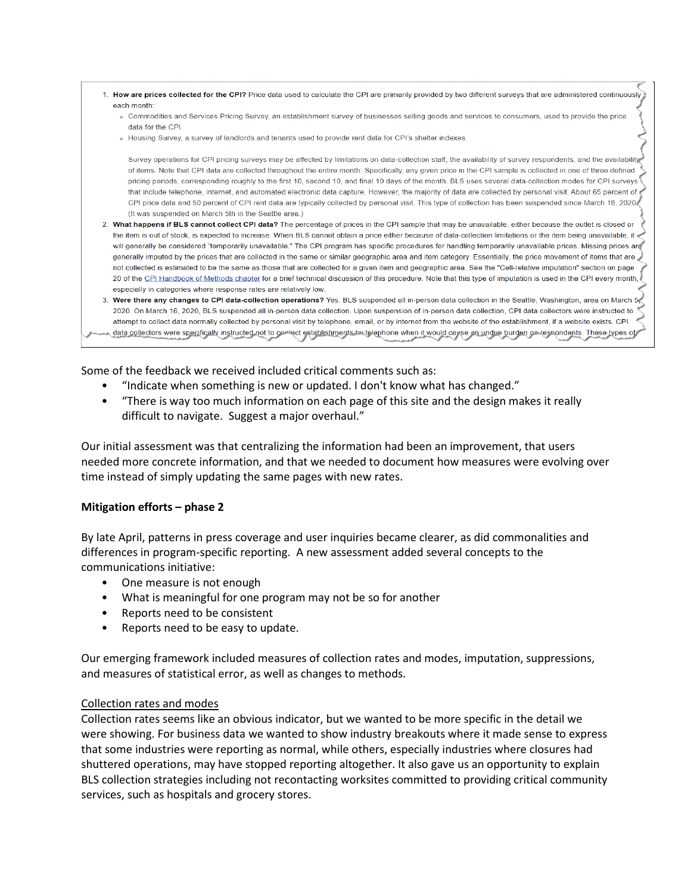

Some of the feedback we received included critical comments such as:

- "Indicate when something is new or updated. I don't know what has changed."
- "There is way too much information on each page of this site and the design makes it really difficult to navigate. Suggest a major overhaul."

Our initial assessment was that centralizing the information had been an improvement, that users needed more concrete information, and that we needed to document how measures were evolving over time instead of simply updating the same pages with new rates.

# **Mitigation efforts – phase 2**

By late April, patterns in press coverage and user inquiries became clearer, as did commonalities and differences in program-specific reporting. A new assessment added several concepts to the communications initiative:

- One measure is not enough
- What is meaningful for one program may not be so for another
- Reports need to be consistent
- Reports need to be easy to update.

Our emerging framework included measures of collection rates and modes, imputation, suppressions, and measures of statistical error, as well as changes to methods.

# Collection rates and modes

Collection rates seems like an obvious indicator, but we wanted to be more specific in the detail we were showing. For business data we wanted to show industry breakouts where it made sense to express that some industries were reporting as normal, while others, especially industries where closures had shuttered operations, may have stopped reporting altogether. It also gave us an opportunity to explain BLS collection strategies including not recontacting worksites committed to providing critical community services, such as hospitals and grocery stores.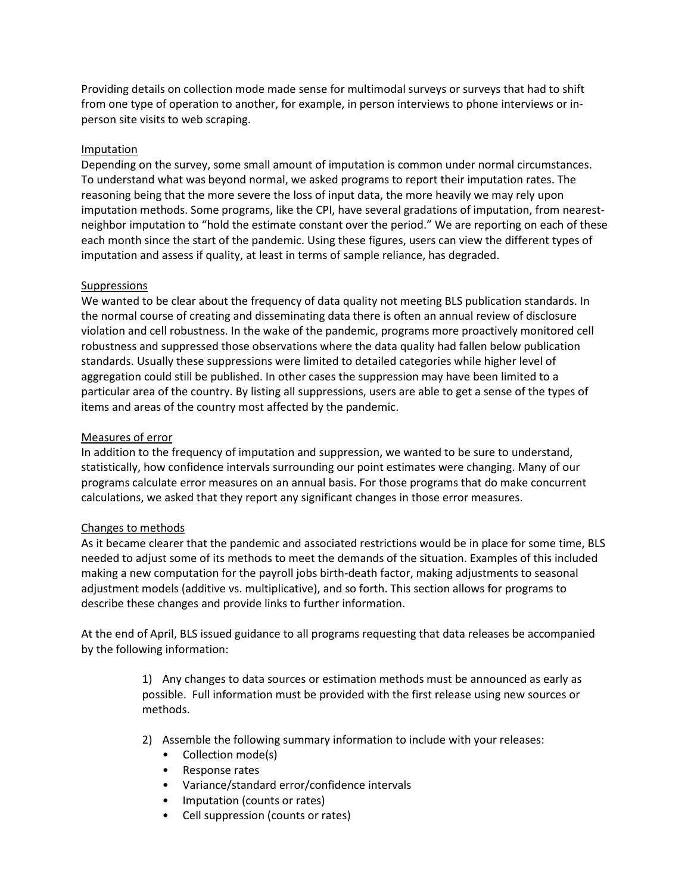Providing details on collection mode made sense for multimodal surveys or surveys that had to shift from one type of operation to another, for example, in person interviews to phone interviews or inperson site visits to web scraping.

# Imputation

Depending on the survey, some small amount of imputation is common under normal circumstances. To understand what was beyond normal, we asked programs to report their imputation rates. The reasoning being that the more severe the loss of input data, the more heavily we may rely upon imputation methods. Some programs, like the CPI, have several gradations of imputation, from nearestneighbor imputation to "hold the estimate constant over the period." We are reporting on each of these each month since the start of the pandemic. Using these figures, users can view the different types of imputation and assess if quality, at least in terms of sample reliance, has degraded.

# Suppressions

We wanted to be clear about the frequency of data quality not meeting BLS publication standards. In the normal course of creating and disseminating data there is often an annual review of disclosure violation and cell robustness. In the wake of the pandemic, programs more proactively monitored cell robustness and suppressed those observations where the data quality had fallen below publication standards. Usually these suppressions were limited to detailed categories while higher level of aggregation could still be published. In other cases the suppression may have been limited to a particular area of the country. By listing all suppressions, users are able to get a sense of the types of items and areas of the country most affected by the pandemic.

# Measures of error

In addition to the frequency of imputation and suppression, we wanted to be sure to understand, statistically, how confidence intervals surrounding our point estimates were changing. Many of our programs calculate error measures on an annual basis. For those programs that do make concurrent calculations, we asked that they report any significant changes in those error measures.

# Changes to methods

As it became clearer that the pandemic and associated restrictions would be in place for some time, BLS needed to adjust some of its methods to meet the demands of the situation. Examples of this included making a new computation for the payroll jobs birth-death factor, making adjustments to seasonal adjustment models (additive vs. multiplicative), and so forth. This section allows for programs to describe these changes and provide links to further information.

At the end of April, BLS issued guidance to all programs requesting that data releases be accompanied by the following information:

> 1) Any changes to data sources or estimation methods must be announced as early as possible. Full information must be provided with the first release using new sources or methods.

- 2) Assemble the following summary information to include with your releases:
	- Collection mode(s)
	- Response rates
	- Variance/standard error/confidence intervals
	- Imputation (counts or rates)
	- Cell suppression (counts or rates)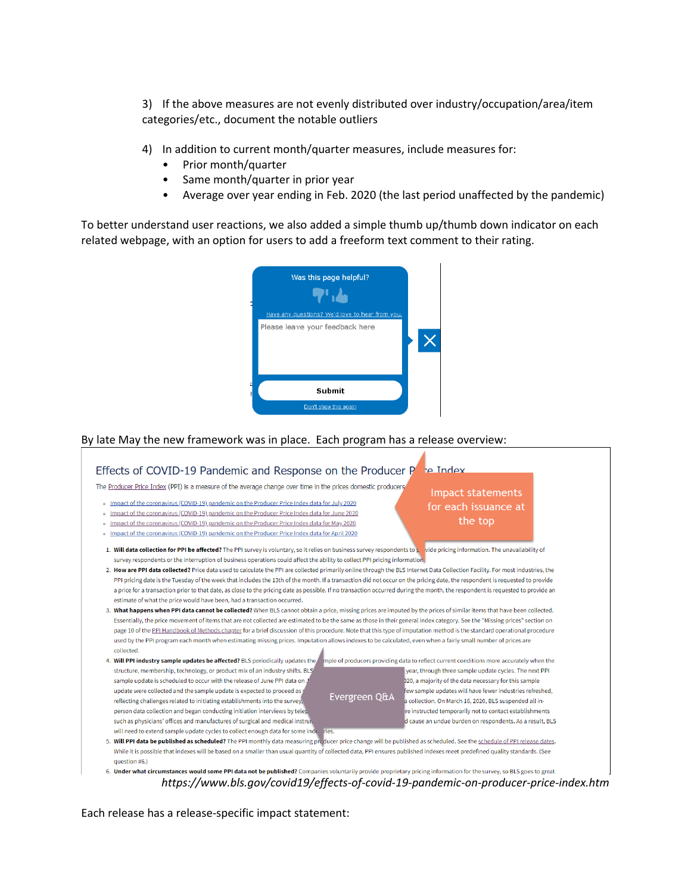3) If the above measures are not evenly distributed over industry/occupation/area/item categories/etc., document the notable outliers

4) In addition to current month/quarter measures, include measures for:

- Prior month/quarter
- Same month/quarter in prior year
- Average over year ending in Feb. 2020 (the last period unaffected by the pandemic)

To better understand user reactions, we also added a simple thumb up/thumb down indicator on each related webpage, with an option for users to add a freeform text comment to their rating.



By late May the new framework was in place. Each program has a release overview:



*https://www.bls.gov/covid19/effects-of-covid-19-pandemic-on-producer-price-index.htm*

Each release has a release-specific impact statement: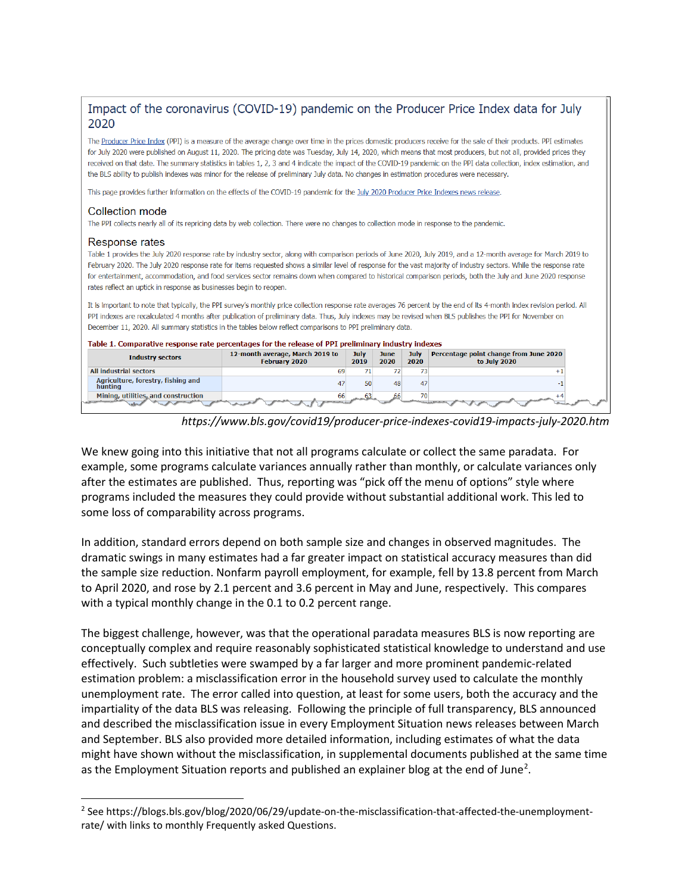# Impact of the coronavirus (COVID-19) pandemic on the Producer Price Index data for July 2020

The Producer Price Index (PPI) is a measure of the average change over time in the prices domestic producers receive for the sale of their products. PPI estimates for July 2020 were published on August 11, 2020. The pricing date was Tuesday, July 14, 2020, which means that most producers, but not all, provided prices they received on that date. The summary statistics in tables 1, 2, 3 and 4 indicate the impact of the COVID-19 pandemic on the PPI data collection, index estimation, and the BLS ability to publish indexes was minor for the release of preliminary July data. No changes in estimation procedures were necessary.

This page provides further information on the effects of the COVID-19 pandemic for the July 2020 Producer Price Indexes news release.

#### Collection mode

The PPI collects nearly all of its repricing data by web collection. There were no changes to collection mode in response to the pandemic.

#### Response rates

Table 1 provides the July 2020 response rate by industry sector, along with comparison periods of June 2020, July 2019, and a 12-month average for March 2019 to February 2020. The July 2020 response rate for items requested shows a similar level of response for the vast majority of industry sectors. While the response rate for entertainment, accommodation, and food services sector remains down when compared to historical comparison periods, both the July and June 2020 response rates reflect an uptick in response as businesses begin to reopen.

It is important to note that typically, the PPI survey's monthly price collection response rate averages 76 percent by the end of its 4-month index revision period. All PPI indexes are recalculated 4 months after publication of preliminary data. Thus, July indexes may be revised when BLS publishes the PPI for November on December 11, 2020. All summary statistics in the tables below reflect comparisons to PPI preliminary data.

|                                               | Table 1. Comparative response rate percentages for the release of PPI preliminary industry indexes |              |              |              |                                                        |
|-----------------------------------------------|----------------------------------------------------------------------------------------------------|--------------|--------------|--------------|--------------------------------------------------------|
| <b>Industry sectors</b>                       | 12-month average, March 2019 to<br><b>February 2020</b>                                            | July<br>2019 | June<br>2020 | July<br>2020 | Percentage point change from June 2020<br>to July 2020 |
| <b>All industrial sectors</b>                 | 69                                                                                                 | 71           | 72           | 73           |                                                        |
| Agriculture, forestry, fishing and<br>hunting | 47                                                                                                 | 50           | 48           | 47           |                                                        |
| Mining, utilities, and construction           | 66                                                                                                 |              |              | 70           |                                                        |

*https://www.bls.gov/covid19/producer-price-indexes-covid19-impacts-july-2020.htm*

We knew going into this initiative that not all programs calculate or collect the same paradata. For example, some programs calculate variances annually rather than monthly, or calculate variances only after the estimates are published. Thus, reporting was "pick off the menu of options" style where programs included the measures they could provide without substantial additional work. This led to some loss of comparability across programs.

In addition, standard errors depend on both sample size and changes in observed magnitudes. The dramatic swings in many estimates had a far greater impact on statistical accuracy measures than did the sample size reduction. Nonfarm payroll employment, for example, fell by 13.8 percent from March to April 2020, and rose by 2.1 percent and 3.6 percent in May and June, respectively. This compares with a typical monthly change in the 0.1 to 0.2 percent range.

The biggest challenge, however, was that the operational paradata measures BLS is now reporting are conceptually complex and require reasonably sophisticated statistical knowledge to understand and use effectively. Such subtleties were swamped by a far larger and more prominent pandemic-related estimation problem: a misclassification error in the household survey used to calculate the monthly unemployment rate. The error called into question, at least for some users, both the accuracy and the impartiality of the data BLS was releasing. Following the principle of full transparency, BLS announced and described the misclassification issue in every Employment Situation news releases between March and September. BLS also provided more detailed information, including estimates of what the data might have shown without the misclassification, in supplemental documents published at the same time as the Employment Situation reports and published an explainer blog at the end of June<sup>[2](#page-6-0)</sup>.

<span id="page-6-0"></span><sup>2</sup> See https://blogs.bls.gov/blog/2020/06/29/update-on-the-misclassification-that-affected-the-unemploymentrate/ with links to monthly Frequently asked Questions.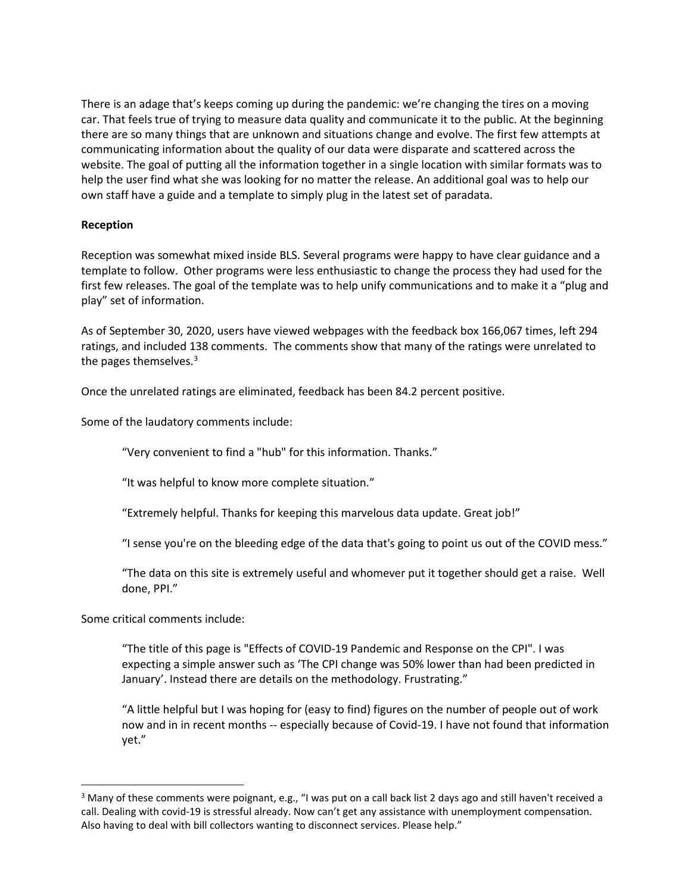There is an adage that's keeps coming up during the pandemic: we're changing the tires on a moving car. That feels true of trying to measure data quality and communicate it to the public. At the beginning there are so many things that are unknown and situations change and evolve. The first few attempts at communicating information about the quality of our data were disparate and scattered across the website. The goal of putting all the information together in a single location with similar formats was to help the user find what she was looking for no matter the release. An additional goal was to help our own staff have a guide and a template to simply plug in the latest set of paradata.

# **Reception**

Reception was somewhat mixed inside BLS. Several programs were happy to have clear guidance and a template to follow. Other programs were less enthusiastic to change the process they had used for the first few releases. The goal of the template was to help unify communications and to make it a "plug and play" set of information.

As of September 30, 2020, users have viewed webpages with the feedback box 166,067 times, left 294 ratings, and included 138 comments. The comments show that many of the ratings were unrelated to the pages themselves.<sup>[3](#page-7-0)</sup>

Once the unrelated ratings are eliminated, feedback has been 84.2 percent positive.

Some of the laudatory comments include:

"Very convenient to find a "hub" for this information. Thanks."

"It was helpful to know more complete situation."

"Extremely helpful. Thanks for keeping this marvelous data update. Great job!"

"I sense you're on the bleeding edge of the data that's going to point us out of the COVID mess."

"The data on this site is extremely useful and whomever put it together should get a raise. Well done, PPI."

Some critical comments include:

"The title of this page is "Effects of COVID-19 Pandemic and Response on the CPI". I was expecting a simple answer such as 'The CPI change was 50% lower than had been predicted in January'. Instead there are details on the methodology. Frustrating."

"A little helpful but I was hoping for (easy to find) figures on the number of people out of work now and in in recent months -- especially because of Covid-19. I have not found that information yet."

<span id="page-7-0"></span><sup>&</sup>lt;sup>3</sup> Many of these comments were poignant, e.g., "I was put on a call back list 2 days ago and still haven't received a call. Dealing with covid-19 is stressful already. Now can't get any assistance with unemployment compensation. Also having to deal with bill collectors wanting to disconnect services. Please help."